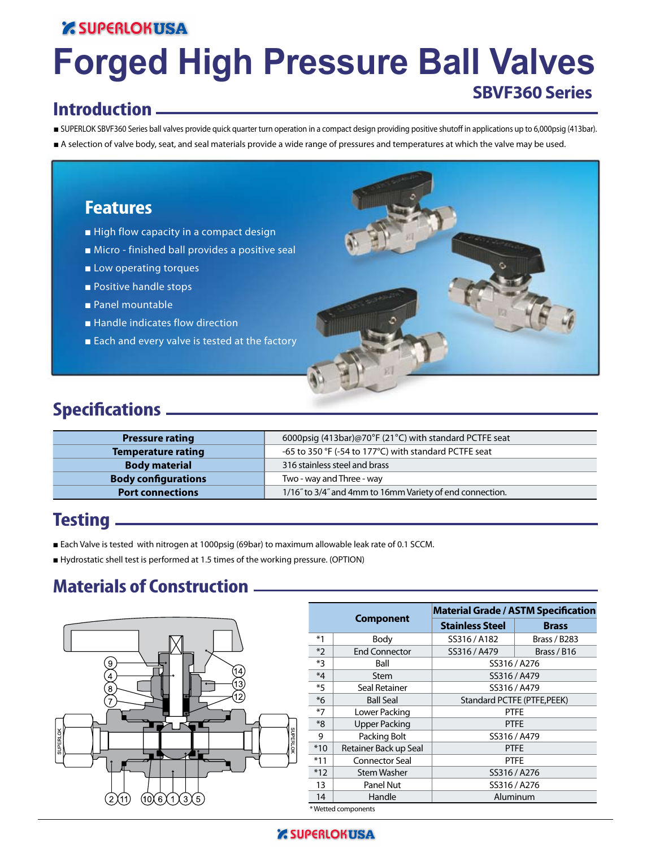### **Z SUPERLOKUSA**

# **Forged High Pressure Ball Valves SBVF360 Series**

### **Introduction**

- SUPERLOK SBVF360 Series ball valves provide quick quarter turn operation in a compact design providing positive shutoff in applications up to 6,000psig (413bar).
- A selection of valve body, seat, and seal materials provide a wide range of pressures and temperatures at which the valve may be used.

### **Features**

- High flow capacity in a compact design
- Micro finished ball provides a positive seal
- Low operating torques
- Positive handle stops
- Panel mountable
- Handle indicates flow direction
- Each and every valve is tested at the factory



# **Specifications**

| <b>Pressure rating</b>     | 6000psig (413bar)@70°F (21°C) with standard PCTFE seat   |
|----------------------------|----------------------------------------------------------|
| <b>Temperature rating</b>  | -65 to 350 °F (-54 to 177°C) with standard PCTFE seat    |
| <b>Body material</b>       | 316 stainless steel and brass                            |
| <b>Body configurations</b> | Two - way and Three - way                                |
| <b>Port connections</b>    | 1/16" to 3/4" and 4mm to 16mm Variety of end connection. |

### **Testing**

- Each Valve is tested with nitrogen at 1000psig (69bar) to maximum allowable leak rate of 0.1 SCCM.
- Hydrostatic shell test is performed at 1.5 times of the working pressure. (OPTION)

### **Materials of Construction**



|         |                       |                             | <b>Material Grade / ASTM Specification</b> |  |  |  |  |
|---------|-----------------------|-----------------------------|--------------------------------------------|--|--|--|--|
|         | <b>Component</b>      | <b>Stainless Steel</b>      | <b>Brass</b>                               |  |  |  |  |
| $*1$    | Body                  | SS316 / A182                | <b>Brass / B283</b>                        |  |  |  |  |
| $*2$    | <b>End Connector</b>  | SS316 / A479<br>Brass / B16 |                                            |  |  |  |  |
| $*3$    | Ball                  | SS316 / A276                |                                            |  |  |  |  |
| $*_{4}$ | <b>Stem</b>           | SS316 / A479                |                                            |  |  |  |  |
| $*5$    | Seal Retainer         | SS316 / A479                |                                            |  |  |  |  |
| $*6$    | <b>Ball Seal</b>      | Standard PCTFE (PTFE, PEEK) |                                            |  |  |  |  |
| $*7$    | Lower Packing         | <b>PTFE</b>                 |                                            |  |  |  |  |
| $*8$    | Upper Packing         |                             | <b>PTFE</b>                                |  |  |  |  |
| 9       | Packing Bolt          |                             | SS316 / A479                               |  |  |  |  |
| $*10$   | Retainer Back up Seal |                             | <b>PTFE</b>                                |  |  |  |  |
| $*11$   | <b>Connector Seal</b> |                             | <b>PTFE</b>                                |  |  |  |  |
| $*12$   | <b>Stem Washer</b>    | SS316/A276                  |                                            |  |  |  |  |
| 13      | Panel Nut             | SS316 / A276                |                                            |  |  |  |  |
| 14      | Handle                | Aluminum                    |                                            |  |  |  |  |
|         | *Wetted components    |                             |                                            |  |  |  |  |

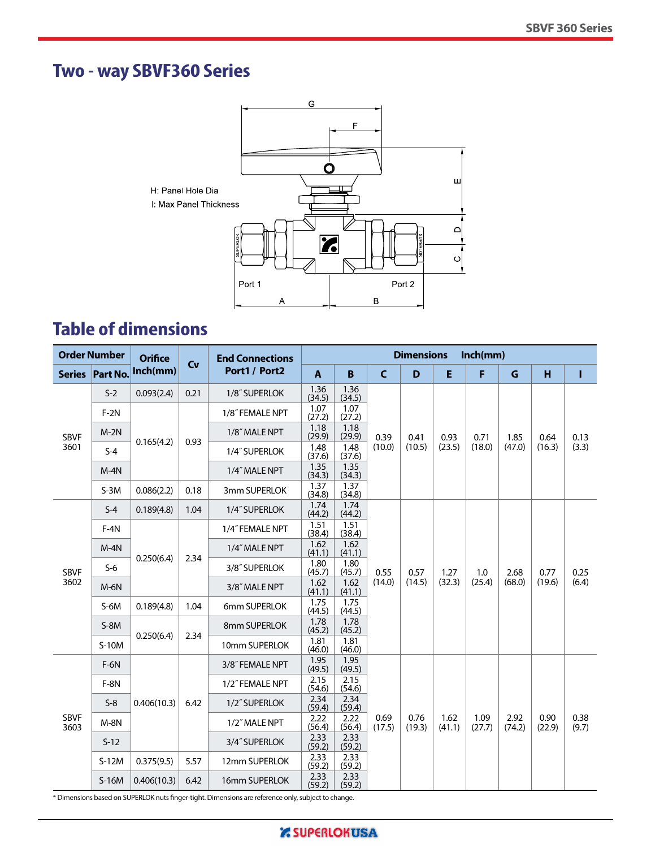# **Two - way SBVF360 Series**



# **Table of dimensions**

| <b>Order Number</b> |                 | <b>Orifice</b> |               | <b>End Connections</b> | <b>Dimensions</b><br>Inch(mm) |                |                |                |                |                |                |                |               |
|---------------------|-----------------|----------------|---------------|------------------------|-------------------------------|----------------|----------------|----------------|----------------|----------------|----------------|----------------|---------------|
|                     | Series Part No. | Inch(mm)       | Cv            | Port1 / Port2          |                               | B              | $\mathsf{C}$   | D              | E              | F              | G              | н              | т             |
|                     | $S-2$           | 0.093(2.4)     | 0.21          | 1/8" SUPERLOK          | 1.36<br>(34.5)                | 1.36<br>(34.5) |                |                |                |                |                |                |               |
| <b>SBVF</b>         | $F-2N$          |                |               | 1/8" FEMALE NPT        | 1.07<br>(27.2)                | 1.07<br>(27.2) |                |                |                |                | 1.85           | 0.64           |               |
|                     | $M-2N$          |                |               | 1/8" MALE NPT          | 1.18<br>(29.9)                | 1.18<br>(29.9) | 0.39           | 0.41           | 0.93           | 0.71           |                |                | 0.13          |
| 3601                | $S-4$           | 0.165(4.2)     | 0.93          | 1/4" SUPERLOK          | 1.48<br>(37.6)                | 1.48<br>(37.6) | (10.0)         | (10.5)         | (23.5)         | (18.0)         | (47.0)         | (16.3)         | (3.3)         |
|                     | $M-4N$          |                |               | 1/4" MALE NPT          | 1.35<br>(34.3)                | 1.35<br>(34.3) |                |                |                |                |                |                |               |
|                     | $S-3M$          | 0.086(2.2)     | 0.18          | 3mm SUPERLOK           | 1.37<br>(34.8)                | 1.37<br>(34.8) |                |                |                |                |                |                |               |
|                     | $S-4$           | 0.189(4.8)     | 1.04          | 1/4" SUPERLOK          | 1.74<br>(44.2)                | 1.74<br>(44.2) |                |                |                | 1.0<br>(25.4)  | 2.68<br>(68.0) | 0.77<br>(19.6) | 0.25<br>(6.4) |
| <b>SBVF</b>         | $F-4N$          |                |               | 1/4" FEMALE NPT        | 1.51<br>(38.4)                | 1.51<br>(38.4) |                |                | 1.27<br>(32.3) |                |                |                |               |
|                     | $M-4N$          |                |               | 1/4" MALE NPT          | 1.62<br>(41.1)                | 1.62<br>(41.1) | 0.55<br>(14.0) |                |                |                |                |                |               |
|                     | $S-6$           | 0.250(6.4)     | 2.34          | 3/8" SUPERLOK          | 1.80<br>(45.7)                | 1.80<br>(45.7) |                | 0.57           |                |                |                |                |               |
| 3602                | $M-6N$          |                |               | 3/8" MALE NPT          | 1.62<br>(41.1)                | 1.62<br>(41.1) |                | (14.5)         |                |                |                |                |               |
|                     | $S-6M$          | 0.189(4.8)     | 1.04          | 6mm SUPERLOK           | 1.75<br>(44.5)                | 1.75<br>(44.5) |                |                |                |                |                |                |               |
|                     | $S-8M$          | 0.250(6.4)     | 2.34          | 8mm SUPERLOK           | 1.78<br>(45.2)                | 1.78<br>(45.2) |                |                |                |                |                |                |               |
|                     | S-10M           |                |               | 10mm SUPERLOK          | 1.81<br>(46.0)                | 1.81<br>(46.0) |                |                |                |                |                |                |               |
|                     | $F-6N$          |                |               | 3/8" FEMALE NPT        | 1.95<br>(49.5)                | 1.95<br>(49.5) |                |                |                |                |                |                |               |
|                     | $F-8N$          |                |               | 1/2" FEMALE NPT        | 2.15<br>(54.6)                | 2.15<br>(54.6) |                |                |                |                |                |                |               |
|                     | $S-8$           | 0.406(10.3)    | 6.42          | 1/2" SUPERLOK          | 2.34<br>(59.4)                | 2.34<br>(59.4) |                |                |                |                |                |                |               |
| <b>SBVF</b><br>3603 | $M-8N$          |                | 1/2" MALE NPT | 2.22<br>(56.4)         | 2.22<br>(56.4)                | 0.69<br>(17.5) | 0.76<br>(19.3) | 1.62<br>(41.1) | 1.09<br>(27.7) | 2.92<br>(74.2) | 0.90<br>(22.9) | 0.38<br>(9.7)  |               |
|                     | $S-12$          |                |               | 3/4" SUPERLOK          | 2.33<br>(59.2)                | 2.33<br>(59.2) |                |                |                |                |                |                |               |
|                     | $S-12M$         | 0.375(9.5)     | 5.57          | 12mm SUPERLOK          | 2.33<br>(59.2)                | 2.33<br>(59.2) |                |                |                |                |                |                |               |
|                     | $S-16M$         | 0.406(10.3)    | 6.42          | 16mm SUPERLOK          | 2.33<br>(59.2)                | 2.33<br>(59.2) |                |                |                |                |                |                |               |

\* Dimensions based on SUPERLOK nuts finger-tight. Dimensions are reference only, subject to change.

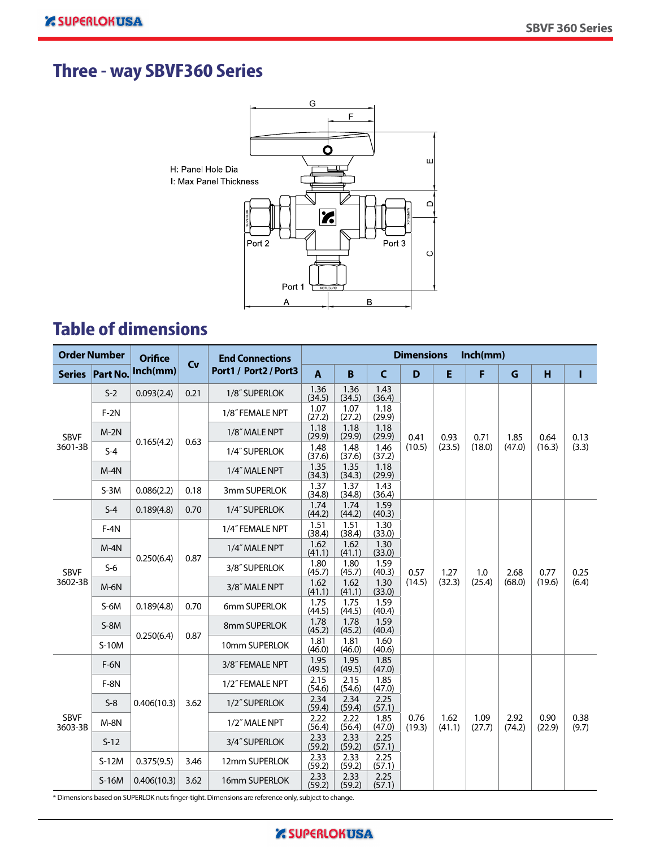# **Three - way SBVF360 Series**



# **Table of dimensions**

| <b>Order Number</b>    |                 | <b>Orifice</b>     |                    | <b>End Connections</b> | <b>Dimensions</b><br>Inch(mm) |                |                |                |                |                |                |                |               |
|------------------------|-----------------|--------------------|--------------------|------------------------|-------------------------------|----------------|----------------|----------------|----------------|----------------|----------------|----------------|---------------|
|                        | Series Part No. | Inch(mm)           | Cv                 | Port1 / Port2 / Port3  | $\overline{A}$                | B              | $\mathsf{C}$   | D              | E              | F              | $\mathbf G$    | н              | T             |
|                        | $S-2$           | 0.093(2.4)         | 0.21               | 1/8" SUPERLOK          | 1.36<br>(34.5)                | 1.36<br>(34.5) | 1.43<br>(36.4) |                |                |                |                |                |               |
| <b>SBVF</b>            | $F-2N$          |                    |                    | 1/8" FEMALE NPT        | 1.07<br>(27.2)                | 1.07<br>(27.2) | 1.18<br>(29.9) |                |                |                |                |                |               |
|                        | $M-2N$          |                    |                    | 1/8" MALE NPT          | 1.18<br>(29.9)                | 1.18<br>(29.9) | 1.18<br>(29.9) | 0.41           | 0.93           | 0.71           | 1.85           | 0.64           | 0.13          |
| 3601-3B                | $S-4$           | 0.165(4.2)<br>0.63 |                    | 1/4" SUPERLOK          | 1.48<br>(37.6)                | 1.48<br>(37.6) | 1.46<br>(37.2) | (10.5)         | (23.5)         | (18.0)         | (47.0)         | (16.3)         | (3.3)         |
|                        | $M-4N$          |                    |                    | 1/4" MALE NPT          | 1.35<br>(34.3)                | 1.35<br>(34.3) | 1.18<br>(29.9) |                |                |                |                |                |               |
|                        | $S-3M$          | 0.086(2.2)         | 0.18               | 3mm SUPERLOK           | 1.37<br>(34.8)                | 1.37<br>(34.8) | 1.43<br>(36.4) |                |                |                |                |                |               |
| <b>SBVF</b>            | $S-4$           | 0.189(4.8)         | 0.70               | 1/4" SUPERLOK          | 1.74<br>(44.2)                | 1.74<br>(44.2) | 1.59<br>(40.3) |                |                |                |                |                |               |
|                        | $F-4N$          |                    |                    | 1/4" FEMALE NPT        | 1.51<br>(38.4)                | 1.51<br>(38.4) | 1.30<br>(33.0) |                | 1.27<br>(32.3) |                | 2.68<br>(68.0) | 0.77<br>(19.6) | 0.25<br>(6.4) |
|                        | $M-4N$          |                    | 0.250(6.4)<br>0.87 | 1/4" MALE NPT          | 1.62<br>(41.1)                | 1.62<br>(41.1) | 1.30<br>(33.0) | 0.57           |                |                |                |                |               |
|                        | $S-6$           |                    |                    | 3/8" SUPERLOK          | 1.80<br>(45.7)                | 1.80<br>(45.7) | 1.59<br>(40.3) |                |                | 1.0            |                |                |               |
| 3602-3B                | $M-6N$          |                    |                    | 3/8" MALE NPT          | 1.62<br>(41.1)                | 1.62<br>(41.1) | 1.30<br>(33.0) | (14.5)         |                | (25.4)         |                |                |               |
|                        | $S-6M$          | 0.189(4.8)         | 0.70               | 6mm SUPERLOK           | 1.75<br>(44.5)                | 1.75<br>(44.5) | 1.59<br>(40.4) |                |                |                |                |                |               |
|                        | $S-8M$          |                    | 0.87               | 8mm SUPERLOK           | 1.78<br>(45.2)                | 1.78<br>(45.2) | 1.59<br>(40.4) |                |                |                |                |                |               |
|                        | $S-10M$         | 0.250(6.4)         |                    | 10mm SUPERLOK          | 1.81<br>(46.0)                | 1.81<br>(46.0) | 1.60<br>(40.6) |                |                |                |                |                |               |
|                        | $F-6N$          |                    |                    | 3/8" FEMALE NPT        | 1.95<br>(49.5)                | 1.95<br>(49.5) | 1.85<br>(47.0) |                |                |                |                |                |               |
|                        | $F-8N$          |                    |                    | 1/2" FEMALE NPT        | 2.15<br>(54.6)                | 2.15<br>(54.6) | 1.85<br>(47.0) |                |                |                |                |                |               |
|                        | $S-8$           | 0.406(10.3)        | 3.62               | 1/2" SUPERLOK          | 2.34<br>(59.4)                | 2.34<br>(59.4) | 2.25<br>(57.1) |                |                |                |                |                |               |
| <b>SBVF</b><br>3603-3B | $M-8N$          |                    | 1/2" MALE NPT      | 2.22<br>(56.4)         | 2.22<br>(56.4)                | 1.85<br>(47.0) | 0.76<br>(19.3) | 1.62<br>(41.1) | 1.09<br>(27.7) | 2.92<br>(74.2) | 0.90<br>(22.9) | 0.38<br>(9.7)  |               |
|                        | $S-12$          |                    |                    | 3/4" SUPERLOK          | 2.33<br>(59.2)                | 2.33<br>(59.2) | 2.25<br>(57.1) |                |                |                |                |                |               |
|                        | $S-12M$         | 0.375(9.5)         | 3.46               | 12mm SUPERLOK          | 2.33<br>(59.2)                | 2.33<br>(59.2) | 2.25<br>(57.1) |                |                |                |                |                |               |
|                        | $S-16M$         | 0.406(10.3)        | 3.62               | 16mm SUPERLOK          | 2.33<br>(59.2)                | 2.33<br>(59.2) | 2.25<br>(57.1) |                |                |                |                |                |               |

\* Dimensions based on SUPERLOK nuts finger-tight. Dimensions are reference only, subject to change.